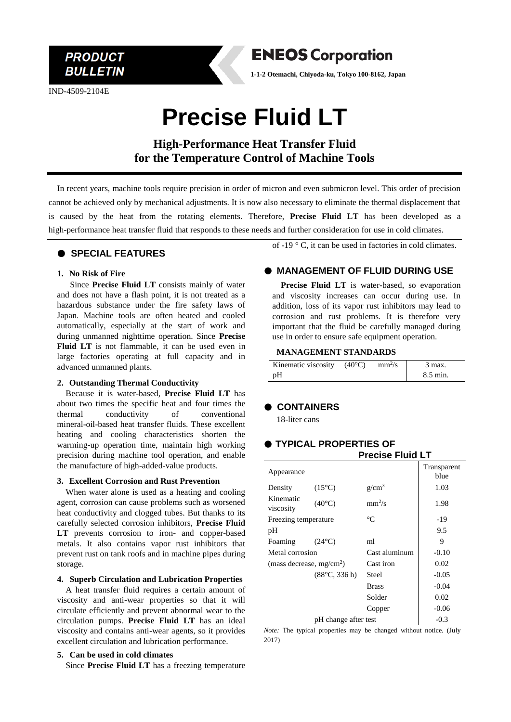**PRODUCT BULLETIN** 

IND-4509-2104E



**1-1-2 Otemachi, Chiyoda-ku, Tokyo 100-8162, Japan**

# **Precise Fluid LT**

**High-Performance Heat Transfer Fluid for the Temperature Control of Machine Tools**

In recent years, machine tools require precision in order of micron and even submicron level. This order of precision cannot be achieved only by mechanical adjustments. It is now also necessary to eliminate the thermal displacement that is caused by the heat from the rotating elements. Therefore, **Precise Fluid LT** has been developed as a high-performance heat transfer fluid that responds to these needs and further consideration for use in cold climates.

## ● **SPECIAL FEATURES**

#### **1. No Risk of Fire**

Since **Precise Fluid LT** consists mainly of water and does not have a flash point, it is not treated as a hazardous substance under the fire safety laws of Japan. Machine tools are often heated and cooled automatically, especially at the start of work and during unmanned nighttime operation. Since **Precise Fluid LT** is not flammable, it can be used even in large factories operating at full capacity and in advanced unmanned plants.

#### **2. Outstanding Thermal Conductivity**

Because it is water-based, **Precise Fluid LT** has about two times the specific heat and four times the thermal conductivity of conventional mineral-oil-based heat transfer fluids. These excellent heating and cooling characteristics shorten the warming-up operation time, maintain high working precision during machine tool operation, and enable the manufacture of high-added-value products.

#### **3. Excellent Corrosion and Rust Prevention**

When water alone is used as a heating and cooling agent, corrosion can cause problems such as worsened heat conductivity and clogged tubes. But thanks to its carefully selected corrosion inhibitors, **Precise Fluid LT** prevents corrosion to iron- and copper-based metals. It also contains vapor rust inhibitors that prevent rust on tank roofs and in machine pipes during storage.

#### **4. Superb Circulation and Lubrication Properties**

A heat transfer fluid requires a certain amount of viscosity and anti-wear properties so that it will circulate efficiently and prevent abnormal wear to the circulation pumps. **Precise Fluid LT** has an ideal viscosity and contains anti-wear agents, so it provides excellent circulation and lubrication performance.

#### **5. Can be used in cold climates**

Since **Precise Fluid LT** has a freezing temperature

of -19 ° C, it can be used in factories in cold climates.

# ● **MANAGEMENT OF FLUID DURING USE**

**Precise Fluid LT** is water-based, so evaporation and viscosity increases can occur during use. In addition, loss of its vapor rust inhibitors may lead to corrosion and rust problems. It is therefore very important that the fluid be carefully managed during use in order to ensure safe equipment operation.

#### **MANAGEMENT STANDARDS**

| Kinematic viscosity | $(40^{\circ}C)$ | $mm\frac{2}{s}$ | $\beta$ max. |
|---------------------|-----------------|-----------------|--------------|
| pΗ                  |                 |                 | 8.5 min.     |

### ● **CONTAINERS**

18-liter cans

#### ● **TYPICAL PROPERTIES OF Precise Fluid LT**

|                             | ו ופטוסק ו ועוע בו    |                   |             |
|-----------------------------|-----------------------|-------------------|-------------|
| Appearance                  |                       |                   | Transparent |
|                             |                       |                   | blue        |
| Density                     | $(15^{\circ}C)$       | g/cm <sup>3</sup> | 1.03        |
| Kinematic<br>viscosity      | $(40^{\circ}C)$       | $mm^2/s$          | 1.98        |
| Freezing temperature        |                       | $^{\circ}C$       | $-19$       |
| pH                          |                       |                   | 9.5         |
| Foaming                     | $(24^{\circ}C)$       | ml                | 9           |
| Metal corrosion             |                       | Cast aluminum     | $-0.10$     |
| (mass decrease, $mg/cm^2$ ) |                       | Cast iron         | 0.02        |
|                             | $(88^{\circ}C, 336h)$ | Steel             | $-0.05$     |
|                             |                       | <b>Brass</b>      | $-0.04$     |
|                             |                       | Solder            | 0.02        |
|                             |                       | Copper            | $-0.06$     |
| pH change after test        |                       | $-0.3$            |             |

*Note:* The typical properties may be changed without notice. (July 2017)